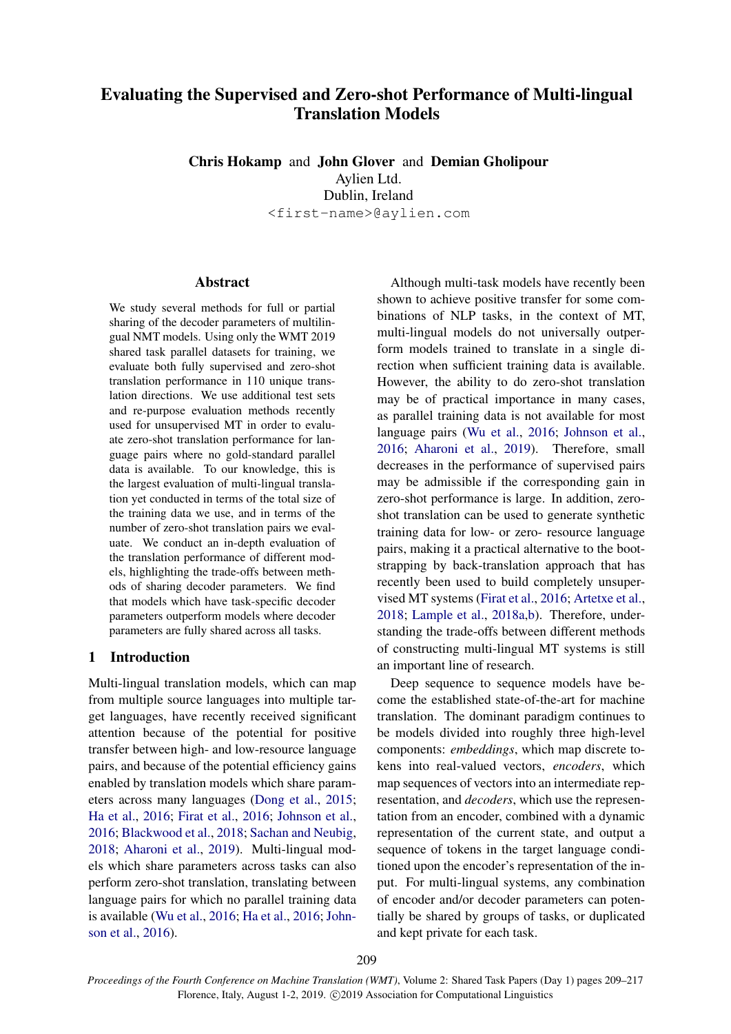# Evaluating the Supervised and Zero-shot Performance of Multi-lingual Translation Models

Chris Hokamp and John Glover and Demian Gholipour Aylien Ltd. Dublin, Ireland <first-name>@aylien.com

# Abstract

We study several methods for full or partial sharing of the decoder parameters of multilingual NMT models. Using only the WMT 2019 shared task parallel datasets for training, we evaluate both fully supervised and zero-shot translation performance in 110 unique translation directions. We use additional test sets and re-purpose evaluation methods recently used for unsupervised MT in order to evaluate zero-shot translation performance for language pairs where no gold-standard parallel data is available. To our knowledge, this is the largest evaluation of multi-lingual translation yet conducted in terms of the total size of the training data we use, and in terms of the number of zero-shot translation pairs we evaluate. We conduct an in-depth evaluation of the translation performance of different models, highlighting the trade-offs between methods of sharing decoder parameters. We find that models which have task-specific decoder parameters outperform models where decoder parameters are fully shared across all tasks.

# 1 Introduction

Multi-lingual translation models, which can map from multiple source languages into multiple target languages, have recently received significant attention because of the potential for positive transfer between high- and low-resource language pairs, and because of the potential efficiency gains enabled by translation models which share parameters across many languages [\(Dong et al.,](#page-6-0) [2015;](#page-6-0) [Ha et al.,](#page-7-0) [2016;](#page-7-0) [Firat et al.,](#page-7-1) [2016;](#page-7-1) [Johnson et al.,](#page-7-2) [2016;](#page-7-2) [Blackwood et al.,](#page-6-1) [2018;](#page-6-1) [Sachan and Neubig,](#page-7-3) [2018;](#page-7-3) [Aharoni et al.,](#page-6-2) [2019\)](#page-6-2). Multi-lingual models which share parameters across tasks can also perform zero-shot translation, translating between language pairs for which no parallel training data is available [\(Wu et al.,](#page-7-4) [2016;](#page-7-4) [Ha et al.,](#page-7-0) [2016;](#page-7-0) [John](#page-7-2)[son et al.,](#page-7-2) [2016\)](#page-7-2).

Although multi-task models have recently been shown to achieve positive transfer for some combinations of NLP tasks, in the context of MT, multi-lingual models do not universally outperform models trained to translate in a single direction when sufficient training data is available. However, the ability to do zero-shot translation may be of practical importance in many cases, as parallel training data is not available for most language pairs [\(Wu et al.,](#page-7-4) [2016;](#page-7-4) [Johnson et al.,](#page-7-2) [2016;](#page-7-2) [Aharoni et al.,](#page-6-2) [2019\)](#page-6-2). Therefore, small decreases in the performance of supervised pairs may be admissible if the corresponding gain in zero-shot performance is large. In addition, zeroshot translation can be used to generate synthetic training data for low- or zero- resource language pairs, making it a practical alternative to the bootstrapping by back-translation approach that has recently been used to build completely unsupervised MT systems [\(Firat et al.,](#page-7-1) [2016;](#page-7-1) [Artetxe et al.,](#page-6-3) [2018;](#page-6-3) [Lample et al.,](#page-7-5) [2018a](#page-7-5)[,b\)](#page-7-6). Therefore, understanding the trade-offs between different methods of constructing multi-lingual MT systems is still an important line of research.

Deep sequence to sequence models have become the established state-of-the-art for machine translation. The dominant paradigm continues to be models divided into roughly three high-level components: *embeddings*, which map discrete tokens into real-valued vectors, *encoders*, which map sequences of vectors into an intermediate representation, and *decoders*, which use the representation from an encoder, combined with a dynamic representation of the current state, and output a sequence of tokens in the target language conditioned upon the encoder's representation of the input. For multi-lingual systems, any combination of encoder and/or decoder parameters can potentially be shared by groups of tasks, or duplicated and kept private for each task.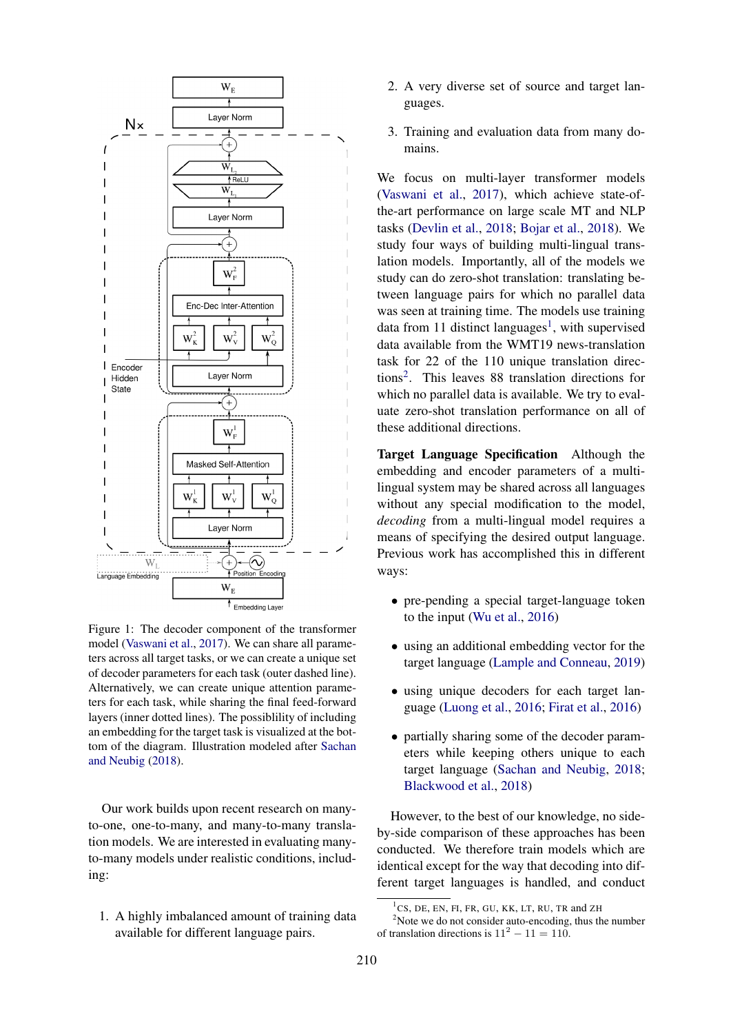<span id="page-1-2"></span>

Figure 1: The decoder component of the transformer model [\(Vaswani et al.,](#page-7-7) [2017\)](#page-7-7). We can share all parameters across all target tasks, or we can create a unique set of decoder parameters for each task (outer dashed line). Alternatively, we can create unique attention parameters for each task, while sharing the final feed-forward layers (inner dotted lines). The possiblility of including an embedding for the target task is visualized at the bottom of the diagram. Illustration modeled after [Sachan](#page-7-3) [and Neubig](#page-7-3) [\(2018\)](#page-7-3).

Our work builds upon recent research on manyto-one, one-to-many, and many-to-many translation models. We are interested in evaluating manyto-many models under realistic conditions, including:

1. A highly imbalanced amount of training data available for different language pairs.

- 2. A very diverse set of source and target languages.
- 3. Training and evaluation data from many domains.

We focus on multi-layer transformer models [\(Vaswani et al.,](#page-7-7) [2017\)](#page-7-7), which achieve state-ofthe-art performance on large scale MT and NLP tasks [\(Devlin et al.,](#page-6-4) [2018;](#page-6-4) [Bojar et al.,](#page-6-5) [2018\)](#page-6-5). We study four ways of building multi-lingual translation models. Importantly, all of the models we study can do zero-shot translation: translating between language pairs for which no parallel data was seen at training time. The models use training data from [1](#page-1-0)1 distinct languages<sup>1</sup>, with supervised data available from the WMT19 news-translation task for 22 of the 110 unique translation directions[2](#page-1-1) . This leaves 88 translation directions for which no parallel data is available. We try to evaluate zero-shot translation performance on all of these additional directions.

Target Language Specification Although the embedding and encoder parameters of a multilingual system may be shared across all languages without any special modification to the model, *decoding* from a multi-lingual model requires a means of specifying the desired output language. Previous work has accomplished this in different ways:

- pre-pending a special target-language token to the input [\(Wu et al.,](#page-7-4) [2016\)](#page-7-4)
- using an additional embedding vector for the target language [\(Lample and Conneau,](#page-7-8) [2019\)](#page-7-8)
- using unique decoders for each target language [\(Luong et al.,](#page-7-9) [2016;](#page-7-9) [Firat et al.,](#page-7-1) [2016\)](#page-7-1)
- partially sharing some of the decoder parameters while keeping others unique to each target language [\(Sachan and Neubig,](#page-7-3) [2018;](#page-7-3) [Blackwood et al.,](#page-6-1) [2018\)](#page-6-1)

However, to the best of our knowledge, no sideby-side comparison of these approaches has been conducted. We therefore train models which are identical except for the way that decoding into different target languages is handled, and conduct

<span id="page-1-1"></span><span id="page-1-0"></span><sup>1</sup> CS, DE, EN, FI, FR, GU, KK, LT, RU, TR and ZH

 $2$ Note we do not consider auto-encoding, thus the number of translation directions is  $11^2 - 11 = 110$ .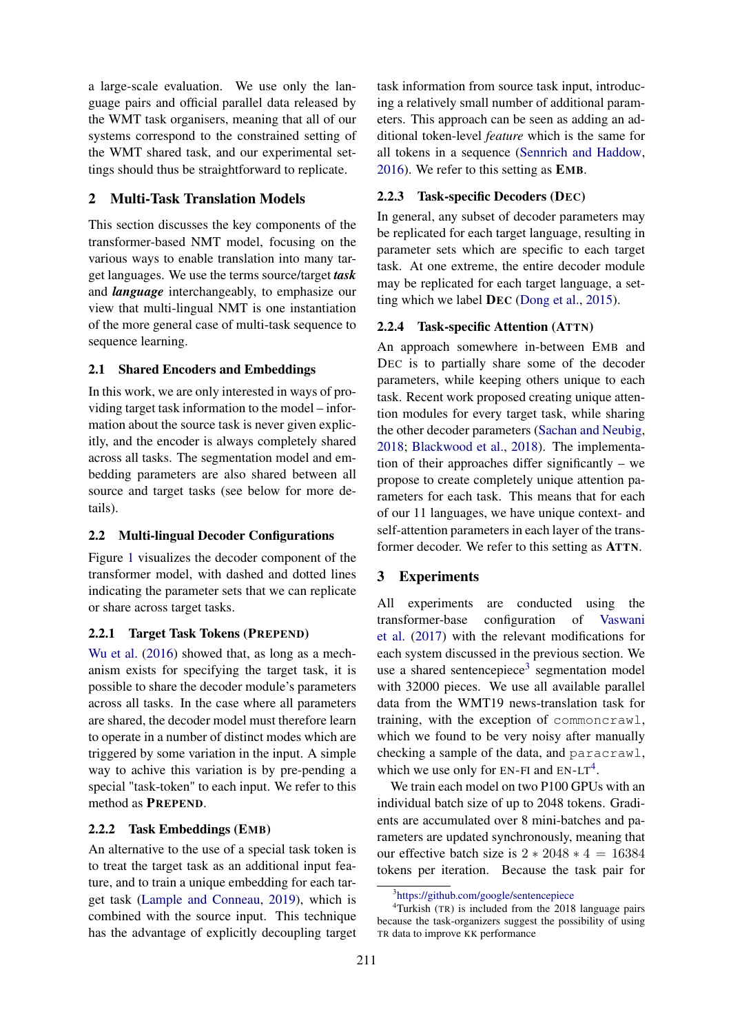a large-scale evaluation. We use only the language pairs and official parallel data released by the WMT task organisers, meaning that all of our systems correspond to the constrained setting of the WMT shared task, and our experimental settings should thus be straightforward to replicate.

# 2 Multi-Task Translation Models

This section discusses the key components of the transformer-based NMT model, focusing on the various ways to enable translation into many target languages. We use the terms source/target *task* and *language* interchangeably, to emphasize our view that multi-lingual NMT is one instantiation of the more general case of multi-task sequence to sequence learning.

# 2.1 Shared Encoders and Embeddings

In this work, we are only interested in ways of providing target task information to the model – information about the source task is never given explicitly, and the encoder is always completely shared across all tasks. The segmentation model and embedding parameters are also shared between all source and target tasks (see below for more details).

# 2.2 Multi-lingual Decoder Configurations

Figure [1](#page-1-2) visualizes the decoder component of the transformer model, with dashed and dotted lines indicating the parameter sets that we can replicate or share across target tasks.

# 2.2.1 Target Task Tokens (PREPEND)

[Wu et al.](#page-7-4) [\(2016\)](#page-7-4) showed that, as long as a mechanism exists for specifying the target task, it is possible to share the decoder module's parameters across all tasks. In the case where all parameters are shared, the decoder model must therefore learn to operate in a number of distinct modes which are triggered by some variation in the input. A simple way to achive this variation is by pre-pending a special "task-token" to each input. We refer to this method as PREPEND.

### 2.2.2 Task Embeddings (EMB)

An alternative to the use of a special task token is to treat the target task as an additional input feature, and to train a unique embedding for each target task [\(Lample and Conneau,](#page-7-8) [2019\)](#page-7-8), which is combined with the source input. This technique has the advantage of explicitly decoupling target task information from source task input, introducing a relatively small number of additional parameters. This approach can be seen as adding an additional token-level *feature* which is the same for all tokens in a sequence [\(Sennrich and Haddow,](#page-7-10) [2016\)](#page-7-10). We refer to this setting as EMB.

# 2.2.3 Task-specific Decoders (DEC)

In general, any subset of decoder parameters may be replicated for each target language, resulting in parameter sets which are specific to each target task. At one extreme, the entire decoder module may be replicated for each target language, a setting which we label DEC [\(Dong et al.,](#page-6-0) [2015\)](#page-6-0).

# 2.2.4 Task-specific Attention (ATTN)

An approach somewhere in-between EMB and DEC is to partially share some of the decoder parameters, while keeping others unique to each task. Recent work proposed creating unique attention modules for every target task, while sharing the other decoder parameters [\(Sachan and Neubig,](#page-7-3) [2018;](#page-7-3) [Blackwood et al.,](#page-6-1) [2018\)](#page-6-1). The implementation of their approaches differ significantly – we propose to create completely unique attention parameters for each task. This means that for each of our 11 languages, we have unique context- and self-attention parameters in each layer of the transformer decoder. We refer to this setting as ATTN.

# 3 Experiments

All experiments are conducted using the transformer-base configuration of [Vaswani](#page-7-7) [et al.](#page-7-7) [\(2017\)](#page-7-7) with the relevant modifications for each system discussed in the previous section. We use a shared sentencepiece<sup>[3](#page-2-0)</sup> segmentation model with 32000 pieces. We use all available parallel data from the WMT19 news-translation task for training, with the exception of commoncrawl, which we found to be very noisy after manually checking a sample of the data, and paracrawl, which we use only for  $EN-FI$  and  $EN-LT<sup>4</sup>$  $EN-LT<sup>4</sup>$  $EN-LT<sup>4</sup>$ .

We train each model on two P100 GPUs with an individual batch size of up to 2048 tokens. Gradients are accumulated over 8 mini-batches and parameters are updated synchronously, meaning that our effective batch size is  $2 * 2048 * 4 = 16384$ tokens per iteration. Because the task pair for

<span id="page-2-1"></span><span id="page-2-0"></span><sup>3</sup> <https://github.com/google/sentencepiece>

<sup>4</sup>Turkish (TR) is included from the 2018 language pairs because the task-organizers suggest the possibility of using TR data to improve KK performance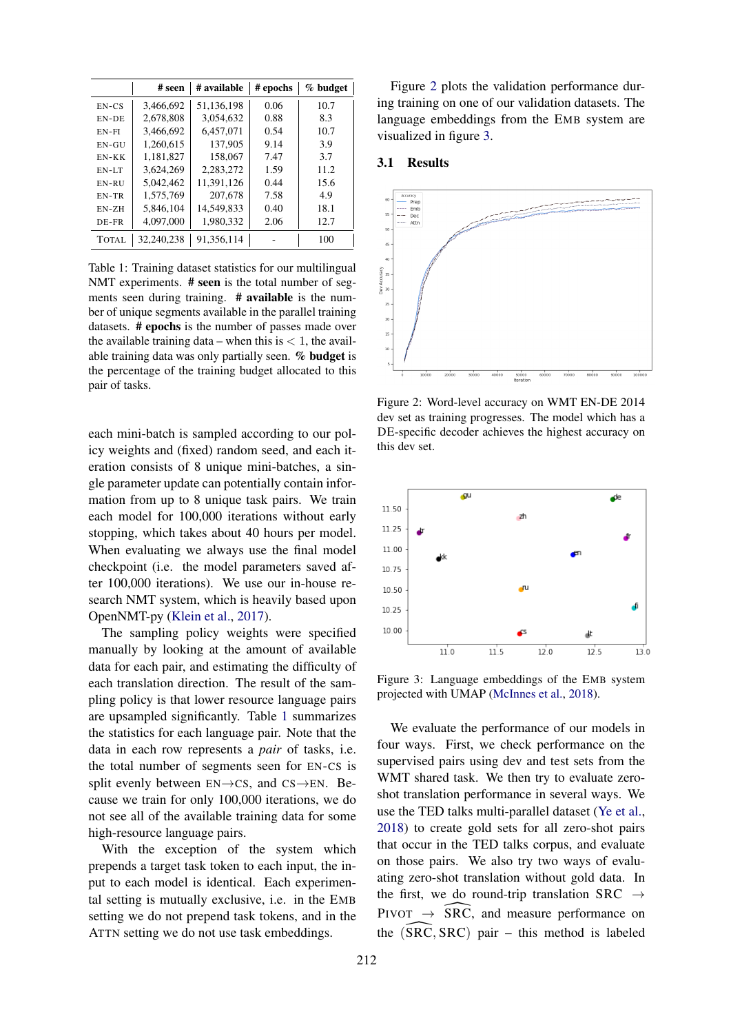<span id="page-3-0"></span>

|         | # seen     | # available | # epochs | % budget |
|---------|------------|-------------|----------|----------|
| $EN-CS$ | 3,466,692  | 51,136,198  | 0.06     | 10.7     |
| EN-DE   | 2,678,808  | 3,054,632   | 0.88     | 8.3      |
| $EN-FI$ | 3,466,692  | 6.457,071   | 0.54     | 10.7     |
| $EN-GU$ | 1.260.615  | 137,905     | 9.14     | 3.9      |
| $EN-KK$ | 1.181.827  | 158,067     | 7.47     | 3.7      |
| EN-LT   | 3.624.269  | 2,283,272   | 1.59     | 11.2     |
| EN-RU   | 5.042.462  | 11,391,126  | 0.44     | 15.6     |
| EN-TR   | 1,575,769  | 207,678     | 7.58     | 4.9      |
| $EN-ZH$ | 5,846,104  | 14,549,833  | 0.40     | 18.1     |
| DE-FR   | 4,097,000  | 1.980.332   | 2.06     | 12.7     |
| TOTAL   | 32.240.238 | 91.356.114  |          | 100      |

Table 1: Training dataset statistics for our multilingual NMT experiments. # seen is the total number of segments seen during training. # available is the number of unique segments available in the parallel training datasets. # epochs is the number of passes made over the available training data – when this is  $< 1$ , the available training data was only partially seen. % budget is the percentage of the training budget allocated to this pair of tasks.

each mini-batch is sampled according to our policy weights and (fixed) random seed, and each iteration consists of 8 unique mini-batches, a single parameter update can potentially contain information from up to 8 unique task pairs. We train each model for 100,000 iterations without early stopping, which takes about 40 hours per model. When evaluating we always use the final model checkpoint (i.e. the model parameters saved after 100,000 iterations). We use our in-house research NMT system, which is heavily based upon OpenNMT-py [\(Klein et al.,](#page-7-11) [2017\)](#page-7-11).

The sampling policy weights were specified manually by looking at the amount of available data for each pair, and estimating the difficulty of each translation direction. The result of the sampling policy is that lower resource language pairs are upsampled significantly. Table [1](#page-3-0) summarizes the statistics for each language pair. Note that the data in each row represents a *pair* of tasks, i.e. the total number of segments seen for EN-CS is split evenly between  $EN \rightarrow CS$ , and  $CS \rightarrow EN$ . Because we train for only 100,000 iterations, we do not see all of the available training data for some high-resource language pairs.

With the exception of the system which prepends a target task token to each input, the input to each model is identical. Each experimental setting is mutually exclusive, i.e. in the EMB setting we do not prepend task tokens, and in the ATTN setting we do not use task embeddings.

Figure [2](#page-3-1) plots the validation performance during training on one of our validation datasets. The language embeddings from the EMB system are visualized in figure [3.](#page-3-2)

### 3.1 Results

<span id="page-3-1"></span>

Figure 2: Word-level accuracy on WMT EN-DE 2014 dev set as training progresses. The model which has a DE-specific decoder achieves the highest accuracy on this dev set.

<span id="page-3-2"></span>

Figure 3: Language embeddings of the EMB system projected with UMAP [\(McInnes et al.,](#page-7-12) [2018\)](#page-7-12).

We evaluate the performance of our models in four ways. First, we check performance on the supervised pairs using dev and test sets from the WMT shared task. We then try to evaluate zeroshot translation performance in several ways. We use the TED talks multi-parallel dataset [\(Ye et al.,](#page-7-13) [2018\)](#page-7-13) to create gold sets for all zero-shot pairs that occur in the TED talks corpus, and evaluate on those pairs. We also try two ways of evaluating zero-shot translation without gold data. In the first, we do round-trip translation SRC  $\rightarrow$ PIVOT  $\rightarrow$  SRC, and measure performance on<br>the (SRC, SRC) pair – this method is labeled the  $(SRC, SRC)$  pair – this method is labeled<br>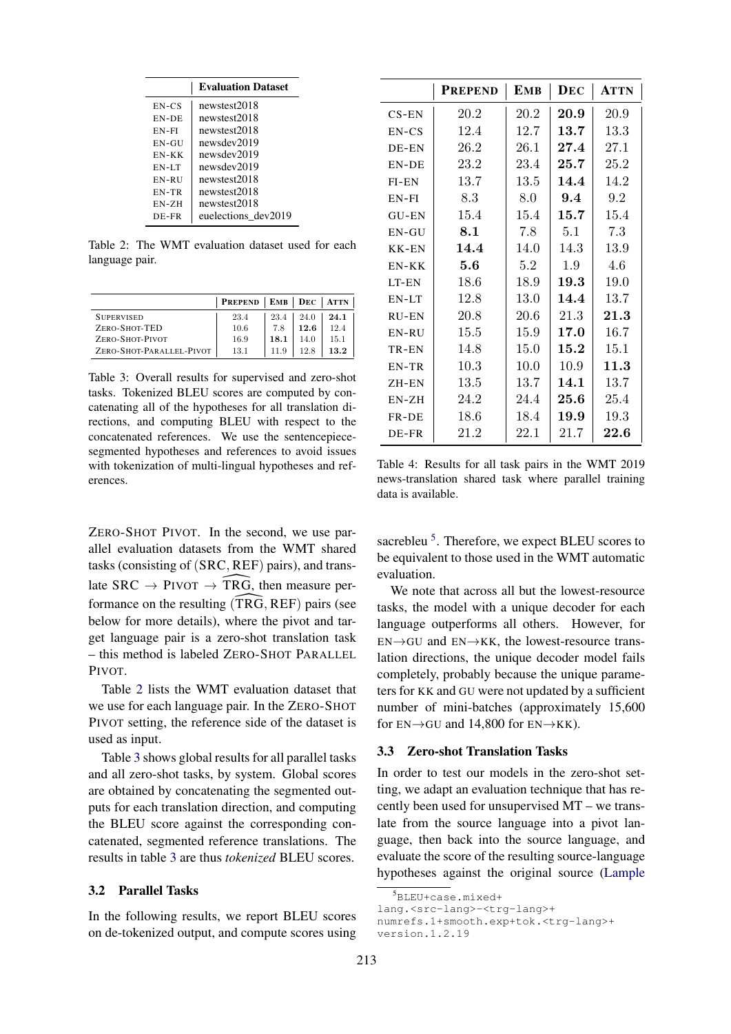<span id="page-4-0"></span>

|         | <b>Evaluation Dataset</b> |
|---------|---------------------------|
| $EN-CS$ | newstest2018              |
| EN-DE   | newstest2018              |
| $EN-FI$ | newstest2018              |
| $EN-GU$ | newsdev2019               |
| $EN-KK$ | newsdev2019               |
| $EN-LT$ | newsdev2019               |
| EN-RU   | newstest2018              |
| EN-TR   | newstest2018              |
| $EN-ZH$ | newstest2018              |
| DE-FR   | euelections dev2019       |

Table 2: The WMT evaluation dataset used for each language pair.

<span id="page-4-1"></span>

|                          | <b>PREPEND</b> | <b>EMB</b> |      | $DEC$   ATTN |
|--------------------------|----------------|------------|------|--------------|
| <b>SUPERVISED</b>        | 23.4           | 23.4       | 24.0 | 24.1         |
| ZERO-SHOT-TED            | 10.6           | 7.8        | 12.6 | 12.4         |
| ZERO-SHOT-PIVOT          | 16.9           | 18.1       | 14 0 | 15.1         |
| ZERO-SHOT-PARALLEL-PIVOT | 13.1           | 11.9       | 12.8 | 13.2         |

Table 3: Overall results for supervised and zero-shot tasks. Tokenized BLEU scores are computed by concatenating all of the hypotheses for all translation directions, and computing BLEU with respect to the concatenated references. We use the sentencepiecesegmented hypotheses and references to avoid issues with tokenization of multi-lingual hypotheses and references.

ZERO-SHOT PIVOT. In the second, we use parallel evaluation datasets from the WMT shared tasks (consisting of (SRC, REF) pairs), and translate SRC  $\rightarrow$  PIVOT  $\rightarrow$  TRG, then measure per-<br>formance on the resulting (TRG, REF) pairs (see formance on the resulting (TRG, REF) pairs (see<br>below for more details), where the pivot and tar-<br>get language pair is a zero-shot translation task<br>this method is labeled ZERO, SHOT PARALLEL below for more details), where the pivot and target language pair is a zero-shot translation task – this method is labeled ZERO-SHOT PARALLEL PIVOT.

Table [2](#page-4-0) lists the WMT evaluation dataset that we use for each language pair. In the ZERO-SHOT PIVOT setting, the reference side of the dataset is used as input.

Table [3](#page-4-1) shows global results for all parallel tasks and all zero-shot tasks, by system. Global scores are obtained by concatenating the segmented outputs for each translation direction, and computing the BLEU score against the corresponding concatenated, segmented reference translations. The results in table [3](#page-4-1) are thus *tokenized* BLEU scores.

### 3.2 Parallel Tasks

In the following results, we report BLEU scores on de-tokenized output, and compute scores using

<span id="page-4-3"></span>

|          | <b>PREPEND</b> | <b>EMB</b> | DEC          | ATTN       |
|----------|----------------|------------|--------------|------------|
| $CS$ -EN | 20.2           | 20.2       | 20.9         | 20.9       |
| $EN-CS$  | 12.4           | 12.7       | 13.7         | 13.3       |
| DE-EN    | 26.2           | 26.1       | 27.4         | 27.1       |
| EN-DE    | 23.2           | 23.4       | 25.7         | 25.2       |
| $FI-EN$  | 13.7           | 13.5       | 14.4         | 14.2       |
| $EN-FI$  | 8.3            | 8.0        | 9.4          | 9.2        |
| GU-EN    | 15.4           | 15.4       | 15.7         | 15.4       |
| $EN-GU$  | 8.1            | 7.8        | 5.1          | 7.3        |
| KK-EN    | 14.4           | 14.0       | 14.3         | 13.9       |
| $EN-KK$  | 5.6            | 5.2        | 1.9          | 4.6        |
| LT-EN    | 18.6           | 18.9       | 19.3         | 19.0       |
| EN-LT    | 12.8           | 13.0       | 14.4         | 13.7       |
| RU-EN    | 20.8           | 20.6       | 21.3         | 21.3       |
| EN-RU    | 15.5           | 15.9       | 17.0         | 16.7       |
| TR-EN    | 14.8           | 15.0       | 15.2         | 15.1       |
| EN-TR    | 10.3           | 10.0       | 10.9         | 11.3       |
| ZH-EN    | 13.5           | 13.7       | 14.1         | 13.7       |
| $EN-ZH$  | 24.2           | 24.4       | ${\bf 25.6}$ | 25.4       |
| FR-DE    | 18.6           | 18.4       | 19.9         | 19.3       |
| DE-FR    | 21.2           | $22.1\,$   | 21.7         | $\bf 22.6$ |

Table 4: Results for all task pairs in the WMT 2019 news-translation shared task where parallel training data is available.

sacrebleu<sup>[5](#page-4-2)</sup>. Therefore, we expect BLEU scores to be equivalent to those used in the WMT automatic evaluation.

We note that across all but the lowest-resource tasks, the model with a unique decoder for each language outperforms all others. However, for  $EN \rightarrow GU$  and  $EN \rightarrow KK$ , the lowest-resource translation directions, the unique decoder model fails completely, probably because the unique parameters for KK and GU were not updated by a sufficient number of mini-batches (approximately 15,600 for  $EN \rightarrow GU$  and 14,800 for  $EN \rightarrow KK$ ).

#### 3.3 Zero-shot Translation Tasks

In order to test our models in the zero-shot setting, we adapt an evaluation technique that has recently been used for unsupervised MT – we translate from the source language into a pivot language, then back into the source language, and evaluate the score of the resulting source-language hypotheses against the original source [\(Lample](#page-7-5)

```
lang.<src-lang>-<trg-lang>+
```

```
numrefs.1+smooth.exp+tok.<trg-lang>+
version.1.2.19
```
<span id="page-4-2"></span> $5$ [BLEU+case.mixed+](#page-7-5)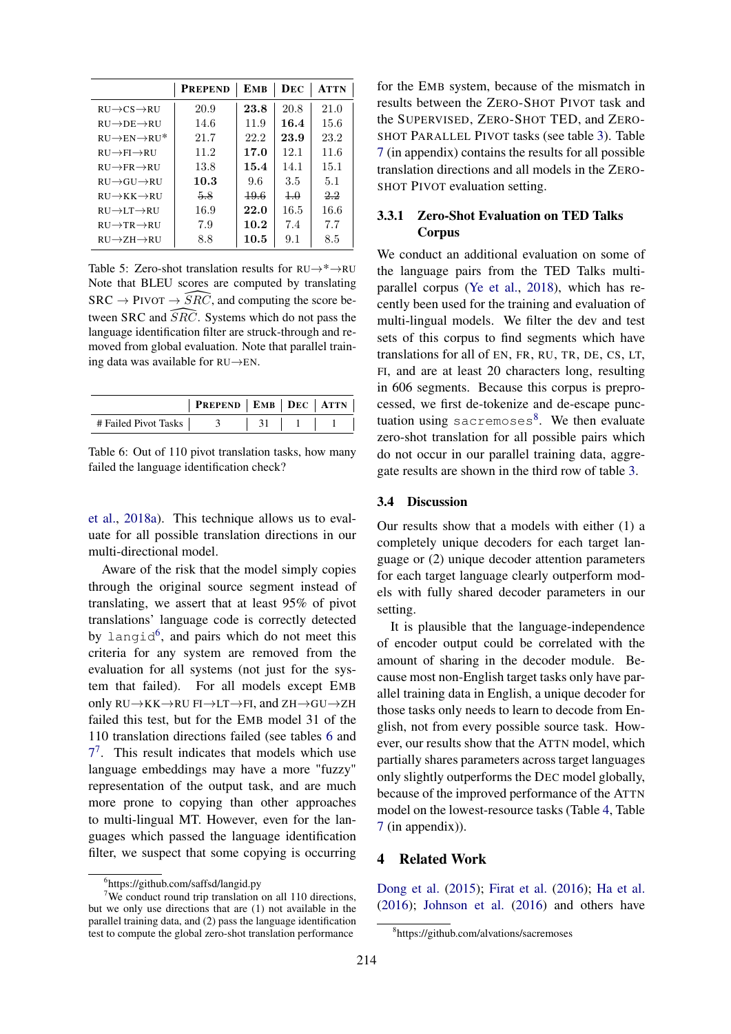|                                        | <b>PREPEND</b> | <b>EMB</b> | DEC        | <b>ATTN</b> |
|----------------------------------------|----------------|------------|------------|-------------|
| $RIJ \rightarrow CS \rightarrow RIJ$   | 20.9           | 23.8       | 20.8       | 21.0        |
| $RIJ \rightarrow DE \rightarrow RIJ$   | 14.6           | 11.9       | 16.4       | 15.6        |
| $RIJ \rightarrow EN \rightarrow RIJ^*$ | 21.7           | 22.2       | 23.9       | 23.2        |
| $RIJ \rightarrow FI \rightarrow RIJ$   | 11.2           | 17.0       | 12.1       | 11.6        |
| $RIJ \rightarrow FR \rightarrow RIJ$   | 13.8           | 15.4       | 14.1       | 15.1        |
| $RIJ \rightarrow GIJ \rightarrow RIJ$  | 10.3           | 9.6        | 3.5        | 5.1         |
| $RIJ \rightarrow KK \rightarrow RIJ$   | 5.8            | 49.6       | $+.\theta$ | 22          |
| $RIJ \rightarrow LT \rightarrow RIJ$   | 16.9           | 22.0       | 16.5       | 16.6        |
| $RIJ \rightarrow TR \rightarrow RIJ$   | 7.9            | 10.2       | 7.4        | 7.7         |
| $RIJ \rightarrow ZH \rightarrow RIJ$   | 8.8            | 10.5       | 9.1        | 8.5         |

Table 5: Zero-shot translation results for  $RU\rightarrow^* \rightarrow RU$ Note that BLEU scores are computed by translating  $SRC \rightarrow PVOT \rightarrow \overline{SRC}$ , and computing the score be-<br>tween SRC and  $\overline{SRC}$ . Systems which do not pass the tween SRC and *SRC*. Systems which do not pass the language identification filter are struck-through and removed from global evaluation. Note that parallel training data was available for  $RU \rightarrow EN$ . language identification filter are struck-through and removed from global evaluation. Note that parallel training data was available for RU→EN.

<span id="page-5-1"></span>

|                      | $ $ Prepend $ $ EMB $ $ Dec $ $ Attn $ $ |  |  |
|----------------------|------------------------------------------|--|--|
| # Failed Pivot Tasks |                                          |  |  |

Table 6: Out of 110 pivot translation tasks, how many failed the language identification check?

[et al.,](#page-7-5) [2018a\)](#page-7-5). This technique allows us to evaluate for all possible translation directions in our multi-directional model.

Aware of the risk that the model simply copies through the original source segment instead of translating, we assert that at least 95% of pivot translations' language code is correctly detected by langid<sup>[6](#page-5-0)</sup>, and pairs which do not meet this criteria for any system are removed from the evaluation for all systems (not just for the system that failed). For all models except EMB only  $RU\rightarrow KK\rightarrow RU$  FI $\rightarrow LT\rightarrow FI$ , and  $ZH\rightarrow GU\rightarrow ZH$ failed this test, but for the EMB model 31 of the 110 translation directions failed (see tables [6](#page-5-1) and  $7<sup>7</sup>$  $7<sup>7</sup>$ . This result indicates that models which use language embeddings may have a more "fuzzy" representation of the output task, and are much more prone to copying than other approaches to multi-lingual MT. However, even for the languages which passed the language identification filter, we suspect that some copying is occurring for the EMB system, because of the mismatch in results between the ZERO-SHOT PIVOT task and the SUPERVISED, ZERO-SHOT TED, and ZERO-SHOT PARALLEL PIVOT tasks (see table [3\)](#page-4-1). Table [7](#page-8-0) (in appendix) contains the results for all possible translation directions and all models in the ZERO-SHOT PIVOT evaluation setting.

# 3.3.1 Zero-Shot Evaluation on TED Talks Corpus

We conduct an additional evaluation on some of the language pairs from the TED Talks multiparallel corpus [\(Ye et al.,](#page-7-13) [2018\)](#page-7-13), which has recently been used for the training and evaluation of multi-lingual models. We filter the dev and test sets of this corpus to find segments which have translations for all of EN, FR, RU, TR, DE, CS, LT, FI, and are at least 20 characters long, resulting in 606 segments. Because this corpus is preprocessed, we first de-tokenize and de-escape punc-tuation using sacremoses<sup>[8](#page-5-3)</sup>. We then evaluate zero-shot translation for all possible pairs which do not occur in our parallel training data, aggregate results are shown in the third row of table [3.](#page-4-1)

### 3.4 Discussion

Our results show that a models with either (1) a completely unique decoders for each target language or (2) unique decoder attention parameters for each target language clearly outperform models with fully shared decoder parameters in our setting.

It is plausible that the language-independence of encoder output could be correlated with the amount of sharing in the decoder module. Because most non-English target tasks only have parallel training data in English, a unique decoder for those tasks only needs to learn to decode from English, not from every possible source task. However, our results show that the ATTN model, which partially shares parameters across target languages only slightly outperforms the DEC model globally, because of the improved performance of the ATTN model on the lowest-resource tasks (Table [4,](#page-4-3) Table [7](#page-8-0) (in appendix)).

# 4 Related Work

[Dong et al.](#page-6-0) [\(2015\)](#page-6-0); [Firat et al.](#page-7-1) [\(2016\)](#page-7-1); [Ha et al.](#page-7-0) [\(2016\)](#page-7-0); [Johnson et al.](#page-7-2) [\(2016\)](#page-7-2) and others have

<span id="page-5-2"></span><span id="page-5-0"></span><sup>6</sup> https://github.com/saffsd/langid.py

<sup>&</sup>lt;sup>7</sup>We conduct round trip translation on all 110 directions, but we only use directions that are (1) not available in the parallel training data, and (2) pass the language identification test to compute the global zero-shot translation performance

<span id="page-5-3"></span><sup>8</sup> https://github.com/alvations/sacremoses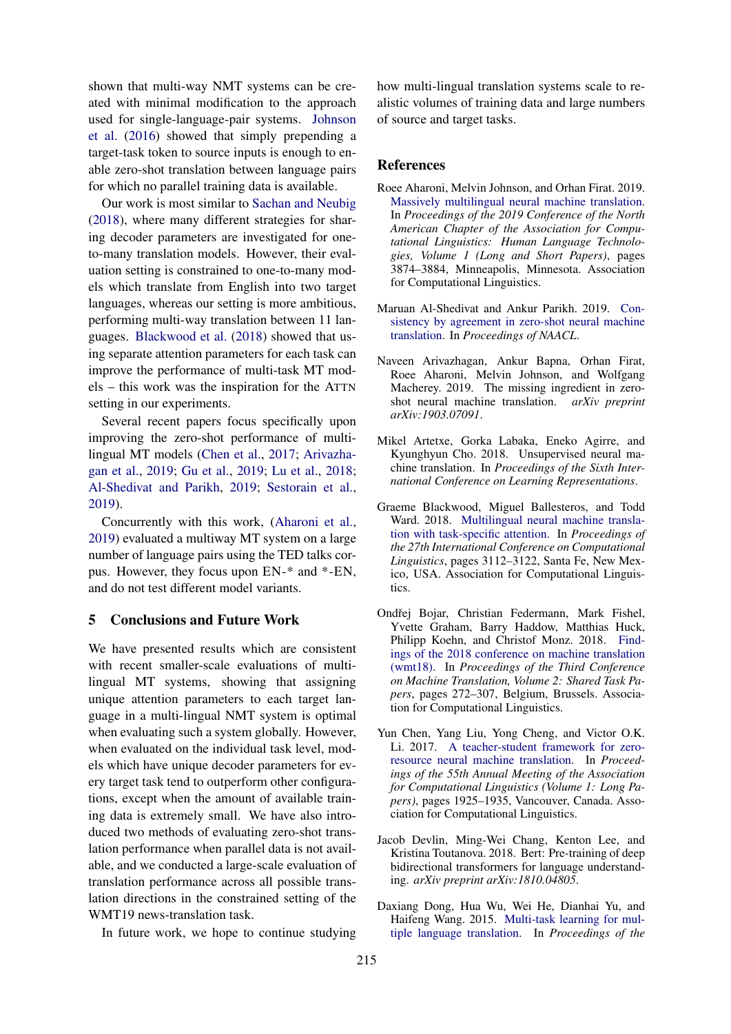shown that multi-way NMT systems can be created with minimal modification to the approach used for single-language-pair systems. [Johnson](#page-7-2) [et al.](#page-7-2) [\(2016\)](#page-7-2) showed that simply prepending a target-task token to source inputs is enough to enable zero-shot translation between language pairs for which no parallel training data is available.

Our work is most similar to [Sachan and Neubig](#page-7-3) [\(2018\)](#page-7-3), where many different strategies for sharing decoder parameters are investigated for oneto-many translation models. However, their evaluation setting is constrained to one-to-many models which translate from English into two target languages, whereas our setting is more ambitious, performing multi-way translation between 11 languages. [Blackwood et al.](#page-6-1) [\(2018\)](#page-6-1) showed that using separate attention parameters for each task can improve the performance of multi-task MT models – this work was the inspiration for the ATTN setting in our experiments.

Several recent papers focus specifically upon improving the zero-shot performance of multilingual MT models [\(Chen et al.,](#page-6-6) [2017;](#page-6-6) [Arivazha](#page-6-7)[gan et al.,](#page-6-7) [2019;](#page-6-7) [Gu et al.,](#page-7-14) [2019;](#page-7-14) [Lu et al.,](#page-7-15) [2018;](#page-7-15) [Al-Shedivat and Parikh,](#page-6-8) [2019;](#page-6-8) [Sestorain et al.,](#page-7-16) [2019\)](#page-7-16).

Concurrently with this work, [\(Aharoni et al.,](#page-6-2) [2019\)](#page-6-2) evaluated a multiway MT system on a large number of language pairs using the TED talks corpus. However, they focus upon EN-\* and \*-EN, and do not test different model variants.

#### 5 Conclusions and Future Work

We have presented results which are consistent with recent smaller-scale evaluations of multilingual MT systems, showing that assigning unique attention parameters to each target language in a multi-lingual NMT system is optimal when evaluating such a system globally. However, when evaluated on the individual task level, models which have unique decoder parameters for every target task tend to outperform other configurations, except when the amount of available training data is extremely small. We have also introduced two methods of evaluating zero-shot translation performance when parallel data is not available, and we conducted a large-scale evaluation of translation performance across all possible translation directions in the constrained setting of the WMT19 news-translation task.

In future work, we hope to continue studying

how multi-lingual translation systems scale to realistic volumes of training data and large numbers of source and target tasks.

### References

- <span id="page-6-2"></span>Roee Aharoni, Melvin Johnson, and Orhan Firat. 2019. [Massively multilingual neural machine translation.](https://www.aclweb.org/anthology/N19-1388) In *Proceedings of the 2019 Conference of the North American Chapter of the Association for Computational Linguistics: Human Language Technologies, Volume 1 (Long and Short Papers)*, pages 3874–3884, Minneapolis, Minnesota. Association for Computational Linguistics.
- <span id="page-6-8"></span>Maruan Al-Shedivat and Ankur Parikh. 2019. [Con](https://arxiv.org/abs/1904.02338)[sistency by agreement in zero-shot neural machine](https://arxiv.org/abs/1904.02338) [translation.](https://arxiv.org/abs/1904.02338) In *Proceedings of NAACL*.
- <span id="page-6-7"></span>Naveen Arivazhagan, Ankur Bapna, Orhan Firat, Roee Aharoni, Melvin Johnson, and Wolfgang Macherey. 2019. The missing ingredient in zeroshot neural machine translation. *arXiv preprint arXiv:1903.07091*.
- <span id="page-6-3"></span>Mikel Artetxe, Gorka Labaka, Eneko Agirre, and Kyunghyun Cho. 2018. Unsupervised neural machine translation. In *Proceedings of the Sixth International Conference on Learning Representations*.
- <span id="page-6-1"></span>Graeme Blackwood, Miguel Ballesteros, and Todd Ward. 2018. [Multilingual neural machine transla](https://www.aclweb.org/anthology/C18-1263)[tion with task-specific attention.](https://www.aclweb.org/anthology/C18-1263) In *Proceedings of the 27th International Conference on Computational Linguistics*, pages 3112–3122, Santa Fe, New Mexico, USA. Association for Computational Linguistics.
- <span id="page-6-5"></span>Ondřej Bojar, Christian Federmann, Mark Fishel, Yvette Graham, Barry Haddow, Matthias Huck, Philipp Koehn, and Christof Monz. 2018. [Find](http://www.aclweb.org/anthology/W18-6401)[ings of the 2018 conference on machine translation](http://www.aclweb.org/anthology/W18-6401) [\(wmt18\).](http://www.aclweb.org/anthology/W18-6401) In *Proceedings of the Third Conference on Machine Translation, Volume 2: Shared Task Papers*, pages 272–307, Belgium, Brussels. Association for Computational Linguistics.
- <span id="page-6-6"></span>Yun Chen, Yang Liu, Yong Cheng, and Victor O.K. Li. 2017. [A teacher-student framework for zero](https://doi.org/10.18653/v1/P17-1176)[resource neural machine translation.](https://doi.org/10.18653/v1/P17-1176) In *Proceedings of the 55th Annual Meeting of the Association for Computational Linguistics (Volume 1: Long Papers)*, pages 1925–1935, Vancouver, Canada. Association for Computational Linguistics.
- <span id="page-6-4"></span>Jacob Devlin, Ming-Wei Chang, Kenton Lee, and Kristina Toutanova. 2018. Bert: Pre-training of deep bidirectional transformers for language understanding. *arXiv preprint arXiv:1810.04805*.
- <span id="page-6-0"></span>Daxiang Dong, Hua Wu, Wei He, Dianhai Yu, and Haifeng Wang. 2015. [Multi-task learning for mul](https://doi.org/10.3115/v1/P15-1166)[tiple language translation.](https://doi.org/10.3115/v1/P15-1166) In *Proceedings of the*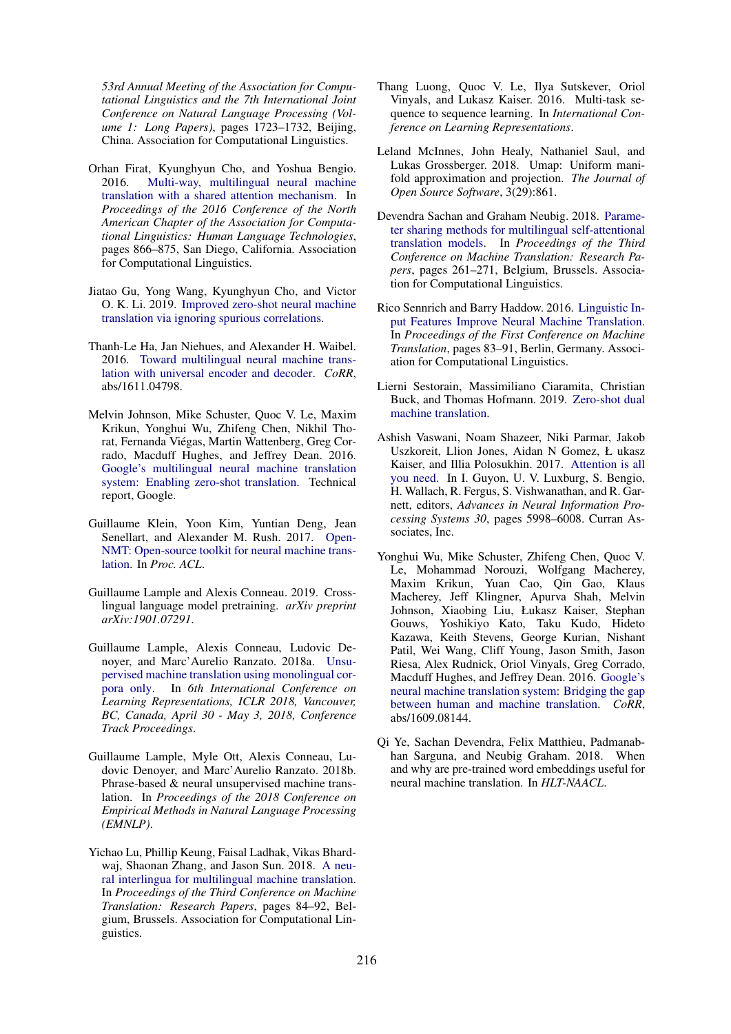*53rd Annual Meeting of the Association for Computational Linguistics and the 7th International Joint Conference on Natural Language Processing (Volume 1: Long Papers)*, pages 1723–1732, Beijing, China. Association for Computational Linguistics.

- <span id="page-7-1"></span>Orhan Firat, Kyunghyun Cho, and Yoshua Bengio. 2016. [Multi-way, multilingual neural machine](https://doi.org/10.18653/v1/N16-1101) [translation with a shared attention mechanism.](https://doi.org/10.18653/v1/N16-1101) In *Proceedings of the 2016 Conference of the North American Chapter of the Association for Computational Linguistics: Human Language Technologies*, pages 866–875, San Diego, California. Association for Computational Linguistics.
- <span id="page-7-14"></span>Jiatao Gu, Yong Wang, Kyunghyun Cho, and Victor O. K. Li. 2019. [Improved zero-shot neural machine](http://arxiv.org/abs/1906.01181) [translation via ignoring spurious correlations.](http://arxiv.org/abs/1906.01181)
- <span id="page-7-0"></span>Thanh-Le Ha, Jan Niehues, and Alexander H. Waibel. 2016. [Toward multilingual neural machine trans](http://arxiv.org/abs/1611.04798)[lation with universal encoder and decoder.](http://arxiv.org/abs/1611.04798) *CoRR*, abs/1611.04798.
- <span id="page-7-2"></span>Melvin Johnson, Mike Schuster, Quoc V. Le, Maxim Krikun, Yonghui Wu, Zhifeng Chen, Nikhil Thorat, Fernanda Viégas, Martin Wattenberg, Greg Corrado, Macduff Hughes, and Jeffrey Dean. 2016. [Google's multilingual neural machine translation](https://arxiv.org/abs/1611.04558) [system: Enabling zero-shot translation.](https://arxiv.org/abs/1611.04558) Technical report, Google.
- <span id="page-7-11"></span>Guillaume Klein, Yoon Kim, Yuntian Deng, Jean Senellart, and Alexander M. Rush. 2017. [Open-](https://doi.org/10.18653/v1/P17-4012)[NMT: Open-source toolkit for neural machine trans](https://doi.org/10.18653/v1/P17-4012)[lation.](https://doi.org/10.18653/v1/P17-4012) In *Proc. ACL*.
- <span id="page-7-8"></span>Guillaume Lample and Alexis Conneau. 2019. Crosslingual language model pretraining. *arXiv preprint arXiv:1901.07291*.
- <span id="page-7-5"></span>Guillaume Lample, Alexis Conneau, Ludovic Denoyer, and Marc'Aurelio Ranzato. 2018a. [Unsu](https://openreview.net/forum?id=rkYTTf-AZ)[pervised machine translation using monolingual cor](https://openreview.net/forum?id=rkYTTf-AZ)[pora only.](https://openreview.net/forum?id=rkYTTf-AZ) In *6th International Conference on Learning Representations, ICLR 2018, Vancouver, BC, Canada, April 30 - May 3, 2018, Conference Track Proceedings*.
- <span id="page-7-6"></span>Guillaume Lample, Myle Ott, Alexis Conneau, Ludovic Denoyer, and Marc'Aurelio Ranzato. 2018b. Phrase-based & neural unsupervised machine translation. In *Proceedings of the 2018 Conference on Empirical Methods in Natural Language Processing (EMNLP)*.
- <span id="page-7-15"></span>Yichao Lu, Phillip Keung, Faisal Ladhak, Vikas Bhardwaj, Shaonan Zhang, and Jason Sun. 2018. [A neu](https://www.aclweb.org/anthology/W18-6309)[ral interlingua for multilingual machine translation.](https://www.aclweb.org/anthology/W18-6309) In *Proceedings of the Third Conference on Machine Translation: Research Papers*, pages 84–92, Belgium, Brussels. Association for Computational Linguistics.
- <span id="page-7-9"></span>Thang Luong, Quoc V. Le, Ilya Sutskever, Oriol Vinyals, and Lukasz Kaiser. 2016. Multi-task sequence to sequence learning. In *International Conference on Learning Representations*.
- <span id="page-7-12"></span>Leland McInnes, John Healy, Nathaniel Saul, and Lukas Grossberger. 2018. Umap: Uniform manifold approximation and projection. *The Journal of Open Source Software*, 3(29):861.
- <span id="page-7-3"></span>Devendra Sachan and Graham Neubig. 2018. [Parame](https://www.aclweb.org/anthology/W18-6327)[ter sharing methods for multilingual self-attentional](https://www.aclweb.org/anthology/W18-6327) [translation models.](https://www.aclweb.org/anthology/W18-6327) In *Proceedings of the Third Conference on Machine Translation: Research Papers*, pages 261–271, Belgium, Brussels. Association for Computational Linguistics.
- <span id="page-7-10"></span>Rico Sennrich and Barry Haddow. 2016. [Linguistic In](http://www.aclweb.org/anthology/W16-2209.pdf)[put Features Improve Neural Machine Translation.](http://www.aclweb.org/anthology/W16-2209.pdf) In *Proceedings of the First Conference on Machine Translation*, pages 83–91, Berlin, Germany. Association for Computational Linguistics.
- <span id="page-7-16"></span>Lierni Sestorain, Massimiliano Ciaramita, Christian Buck, and Thomas Hofmann. 2019. [Zero-shot dual](https://openreview.net/forum?id=ByecAoAqK7) [machine translation.](https://openreview.net/forum?id=ByecAoAqK7)
- <span id="page-7-7"></span>Ashish Vaswani, Noam Shazeer, Niki Parmar, Jakob Uszkoreit, Llion Jones, Aidan N Gomez, Ł ukasz Kaiser, and Illia Polosukhin. 2017. [Attention is all](http://papers.nips.cc/paper/7181-attention-is-all-you-need.pdf) [you need.](http://papers.nips.cc/paper/7181-attention-is-all-you-need.pdf) In I. Guyon, U. V. Luxburg, S. Bengio, H. Wallach, R. Fergus, S. Vishwanathan, and R. Garnett, editors, *Advances in Neural Information Processing Systems 30*, pages 5998–6008. Curran Associates, Inc.
- <span id="page-7-4"></span>Yonghui Wu, Mike Schuster, Zhifeng Chen, Quoc V. Le, Mohammad Norouzi, Wolfgang Macherey, Maxim Krikun, Yuan Cao, Qin Gao, Klaus Macherey, Jeff Klingner, Apurva Shah, Melvin Johnson, Xiaobing Liu, Łukasz Kaiser, Stephan Gouws, Yoshikiyo Kato, Taku Kudo, Hideto Kazawa, Keith Stevens, George Kurian, Nishant Patil, Wei Wang, Cliff Young, Jason Smith, Jason Riesa, Alex Rudnick, Oriol Vinyals, Greg Corrado, Macduff Hughes, and Jeffrey Dean. 2016. [Google's](http://arxiv.org/abs/1609.08144) [neural machine translation system: Bridging the gap](http://arxiv.org/abs/1609.08144) [between human and machine translation.](http://arxiv.org/abs/1609.08144) *CoRR*, abs/1609.08144.
- <span id="page-7-13"></span>Qi Ye, Sachan Devendra, Felix Matthieu, Padmanabhan Sarguna, and Neubig Graham. 2018. When and why are pre-trained word embeddings useful for neural machine translation. In *HLT-NAACL*.